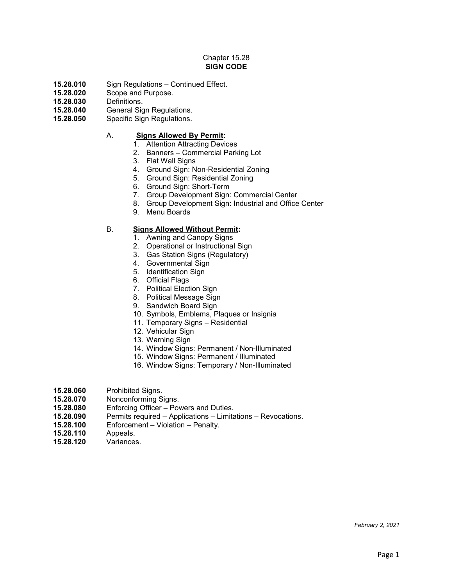# Chapter 15.28 **SIGN CODE**

- 15.28.010 Sign Regulations Continued Effect.<br>**15.28.020** Scope and Purpose.
- **15.28.020** Scope and Purpose.
- **15.28.030** Definitions.
- 15.28.040 General Sign Regulations.<br>**15.28.050** Specific Sign Regulations.
- **15.28.050** Specific Sign Regulations.

## A. **Signs Allowed By Permit:**

- 1. Attention Attracting Devices
- 2. Banners Commercial Parking Lot
- 3. Flat Wall Signs
- 4. Ground Sign: Non-Residential Zoning
- 5. Ground Sign: Residential Zoning
- 6. Ground Sign: Short-Term
- 7. Group Development Sign: Commercial Center
- 8. Group Development Sign: Industrial and Office Center
- 9. Menu Boards

# B. **Signs Allowed Without Permit:**

- 1. Awning and Canopy Signs
- 2. Operational or Instructional Sign
- 3. Gas Station Signs (Regulatory)
- 4. Governmental Sign
- 5. Identification Sign
- 6. Official Flags
- 7. Political Election Sign
- 8. Political Message Sign
- 9. Sandwich Board Sign
- 10. Symbols, Emblems, Plaques or Insignia
- 11. Temporary Signs Residential
- 12. Vehicular Sign
- 13. Warning Sign
- 14. Window Signs: Permanent / Non-Illuminated
- 15. Window Signs: Permanent / Illuminated
- 16. Window Signs: Temporary / Non-Illuminated
- **15.28.060** Prohibited Signs.<br>**15.28.070** Nonconforming S
- **15.28.070** Nonconforming Signs.
- **15.28.080** Enforcing Officer Powers and Duties.
- **15.28.090** Permits required Applications Limitations Revocations.
- **15.28.100** Enforcement Violation Penalty.
- **15.28.110** Appeals.
- **15.28.120** Variances.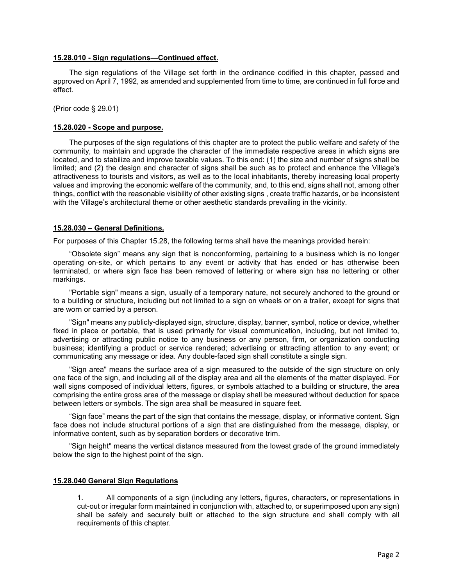#### **15.28.010 - Sign regulations—Continued effect.**

The sign regulations of the Village set forth in the ordinance codified in this chapter, passed and approved on April 7, 1992, as amended and supplemented from time to time, are continued in full force and effect.

(Prior code § 29.01)

#### **15.28.020 - Scope and purpose.**

The purposes of the sign regulations of this chapter are to protect the public welfare and safety of the community, to maintain and upgrade the character of the immediate respective areas in which signs are located, and to stabilize and improve taxable values. To this end: (1) the size and number of signs shall be limited; and (2) the design and character of signs shall be such as to protect and enhance the Village's attractiveness to tourists and visitors, as well as to the local inhabitants, thereby increasing local property values and improving the economic welfare of the community, and, to this end, signs shall not, among other things, conflict with the reasonable visibility of other existing signs , create traffic hazards, or be inconsistent with the Village's architectural theme or other aesthetic standards prevailing in the vicinity.

#### **15.28.030 – General Definitions.**

For purposes of this Chapter 15.28, the following terms shall have the meanings provided herein:

"Obsolete sign" means any sign that is nonconforming, pertaining to a business which is no longer operating on-site, or which pertains to any event or activity that has ended or has otherwise been terminated, or where sign face has been removed of lettering or where sign has no lettering or other markings.

"Portable sign" means a sign, usually of a temporary nature, not securely anchored to the ground or to a building or structure, including but not limited to a sign on wheels or on a trailer, except for signs that are worn or carried by a person.

"Sign" means any publicly-displayed sign, structure, display, banner, symbol, notice or device, whether fixed in place or portable, that is used primarily for visual communication, including, but not limited to, advertising or attracting public notice to any business or any person, firm, or organization conducting business; identifying a product or service rendered; advertising or attracting attention to any event; or communicating any message or idea. Any double-faced sign shall constitute a single sign.

"Sign area" means the surface area of a sign measured to the outside of the sign structure on only one face of the sign, and including all of the display area and all the elements of the matter displayed. For wall signs composed of individual letters, figures, or symbols attached to a building or structure, the area comprising the entire gross area of the message or display shall be measured without deduction for space between letters or symbols. The sign area shall be measured in square feet.

"Sign face" means the part of the sign that contains the message, display, or informative content. Sign face does not include structural portions of a sign that are distinguished from the message, display, or informative content, such as by separation borders or decorative trim.

"Sign height" means the vertical distance measured from the lowest grade of the ground immediately below the sign to the highest point of the sign.

### **15.28.040 General Sign Regulations**

1. All components of a sign (including any letters, figures, characters, or representations in cut-out or irregular form maintained in conjunction with, attached to, or superimposed upon any sign) shall be safely and securely built or attached to the sign structure and shall comply with all requirements of this chapter.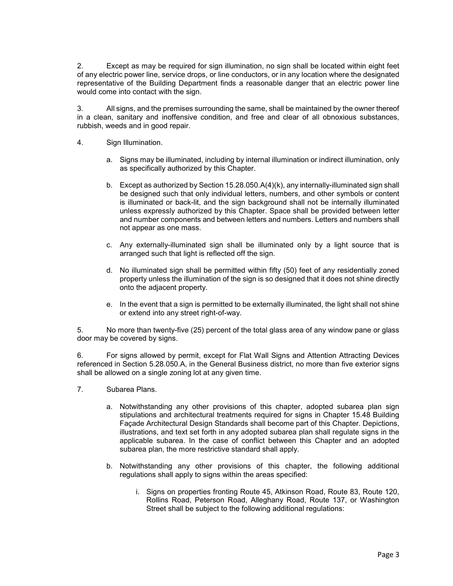2. Except as may be required for sign illumination, no sign shall be located within eight feet of any electric power line, service drops, or line conductors, or in any location where the designated representative of the Building Department finds a reasonable danger that an electric power line would come into contact with the sign.

3. All signs, and the premises surrounding the same, shall be maintained by the owner thereof in a clean, sanitary and inoffensive condition, and free and clear of all obnoxious substances, rubbish, weeds and in good repair.

- 4. Sign Illumination.
	- a. Signs may be illuminated, including by internal illumination or indirect illumination, only as specifically authorized by this Chapter.
	- b. Except as authorized by Section 15.28.050.A(4)(k), any internally-illuminated sign shall be designed such that only individual letters, numbers, and other symbols or content is illuminated or back-lit, and the sign background shall not be internally illuminated unless expressly authorized by this Chapter. Space shall be provided between letter and number components and between letters and numbers. Letters and numbers shall not appear as one mass.
	- c. Any externally-illuminated sign shall be illuminated only by a light source that is arranged such that light is reflected off the sign.
	- d. No illuminated sign shall be permitted within fifty (50) feet of any residentially zoned property unless the illumination of the sign is so designed that it does not shine directly onto the adjacent property.
	- e. In the event that a sign is permitted to be externally illuminated, the light shall not shine or extend into any street right-of-way.

5. No more than twenty-five (25) percent of the total glass area of any window pane or glass door may be covered by signs.

6. For signs allowed by permit, except for Flat Wall Signs and Attention Attracting Devices referenced in Section 5.28.050.A, in the General Business district, no more than five exterior signs shall be allowed on a single zoning lot at any given time.

- 7. Subarea Plans.
	- a. Notwithstanding any other provisions of this chapter, adopted subarea plan sign stipulations and architectural treatments required for signs in Chapter 15.48 Building Façade Architectural Design Standards shall become part of this Chapter. Depictions, illustrations, and text set forth in any adopted subarea plan shall regulate signs in the applicable subarea. In the case of conflict between this Chapter and an adopted subarea plan, the more restrictive standard shall apply.
	- b. Notwithstanding any other provisions of this chapter, the following additional regulations shall apply to signs within the areas specified:
		- i. Signs on properties fronting Route 45, Atkinson Road, Route 83, Route 120, Rollins Road, Peterson Road, Alleghany Road, Route 137, or Washington Street shall be subject to the following additional regulations: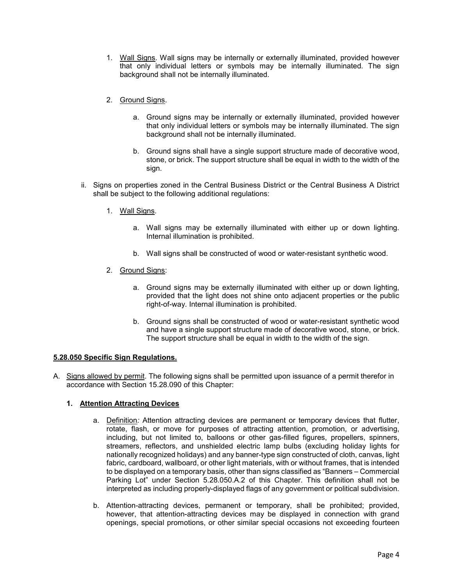- 1. Wall Signs. Wall signs may be internally or externally illuminated, provided however that only individual letters or symbols may be internally illuminated. The sign background shall not be internally illuminated.
- 2. Ground Signs.
	- a. Ground signs may be internally or externally illuminated, provided however that only individual letters or symbols may be internally illuminated. The sign background shall not be internally illuminated.
	- b. Ground signs shall have a single support structure made of decorative wood, stone, or brick. The support structure shall be equal in width to the width of the sign.
- ii. Signs on properties zoned in the Central Business District or the Central Business A District shall be subject to the following additional regulations:
	- 1. Wall Signs.
		- a. Wall signs may be externally illuminated with either up or down lighting. Internal illumination is prohibited.
		- b. Wall signs shall be constructed of wood or water-resistant synthetic wood.
	- 2. Ground Signs:
		- a. Ground signs may be externally illuminated with either up or down lighting, provided that the light does not shine onto adjacent properties or the public right-of-way. Internal illumination is prohibited.
		- b. Ground signs shall be constructed of wood or water-resistant synthetic wood and have a single support structure made of decorative wood, stone, or brick. The support structure shall be equal in width to the width of the sign.

### **5.28.050 Specific Sign Regulations.**

A. Signs allowed by permit. The following signs shall be permitted upon issuance of a permit therefor in accordance with Section 15.28.090 of this Chapter:

### **1. Attention Attracting Devices**

- a. Definition*:* Attention attracting devices are permanent or temporary devices that flutter, rotate, flash, or move for purposes of attracting attention, promotion, or advertising, including, but not limited to, balloons or other gas-filled figures, propellers, spinners, streamers, reflectors, and unshielded electric lamp bulbs (excluding holiday lights for nationally recognized holidays) and any banner-type sign constructed of cloth, canvas, light fabric, cardboard, wallboard, or other light materials, with or without frames, that is intended to be displayed on a temporary basis, other than signs classified as "Banners – Commercial Parking Lot" under Section 5.28.050.A.2 of this Chapter. This definition shall not be interpreted as including properly-displayed flags of any government or political subdivision.
- b. Attention-attracting devices, permanent or temporary, shall be prohibited; provided, however, that attention-attracting devices may be displayed in connection with grand openings, special promotions, or other similar special occasions not exceeding fourteen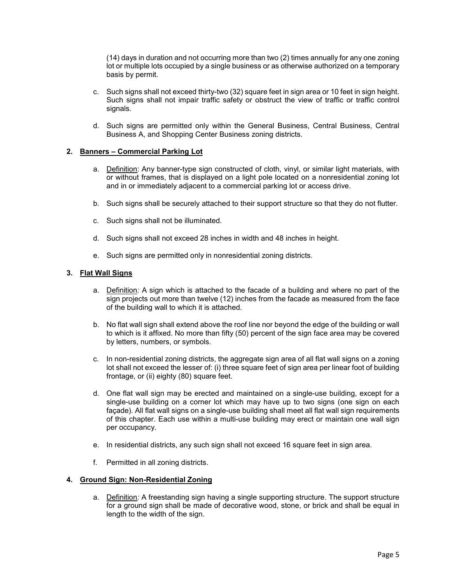(14) days in duration and not occurring more than two (2) times annually for any one zoning lot or multiple lots occupied by a single business or as otherwise authorized on a temporary basis by permit.

- c. Such signs shall not exceed thirty-two (32) square feet in sign area or 10 feet in sign height. Such signs shall not impair traffic safety or obstruct the view of traffic or traffic control signals.
- d. Such signs are permitted only within the General Business, Central Business, Central Business A, and Shopping Center Business zoning districts.

## **2. Banners – Commercial Parking Lot**

- a. Definition: Any banner-type sign constructed of cloth, vinyl, or similar light materials, with or without frames, that is displayed on a light pole located on a nonresidential zoning lot and in or immediately adjacent to a commercial parking lot or access drive.
- b. Such signs shall be securely attached to their support structure so that they do not flutter.
- c. Such signs shall not be illuminated.
- d. Such signs shall not exceed 28 inches in width and 48 inches in height.
- e. Such signs are permitted only in nonresidential zoning districts.

## **3. Flat Wall Signs**

- a. Definition*:* A sign which is attached to the facade of a building and where no part of the sign projects out more than twelve (12) inches from the facade as measured from the face of the building wall to which it is attached.
- b. No flat wall sign shall extend above the roof line nor beyond the edge of the building or wall to which is it affixed. No more than fifty (50) percent of the sign face area may be covered by letters, numbers, or symbols.
- c. In non-residential zoning districts, the aggregate sign area of all flat wall signs on a zoning lot shall not exceed the lesser of: (i) three square feet of sign area per linear foot of building frontage, or (ii) eighty (80) square feet.
- d. One flat wall sign may be erected and maintained on a single-use building, except for a single-use building on a corner lot which may have up to two signs (one sign on each façade). All flat wall signs on a single-use building shall meet all flat wall sign requirements of this chapter. Each use within a multi-use building may erect or maintain one wall sign per occupancy.
- e. In residential districts, any such sign shall not exceed 16 square feet in sign area.
- f. Permitted in all zoning districts.

### **4. Ground Sign: Non-Residential Zoning**

a. Definition*:* A freestanding sign having a single supporting structure. The support structure for a ground sign shall be made of decorative wood, stone, or brick and shall be equal in length to the width of the sign.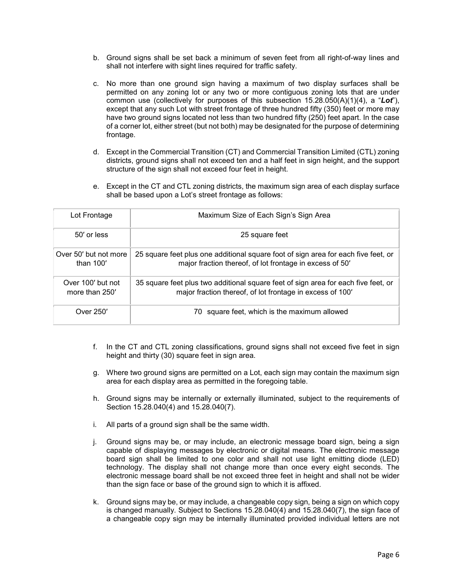- b. Ground signs shall be set back a minimum of seven feet from all right-of-way lines and shall not interfere with sight lines required for traffic safety.
- c. No more than one ground sign having a maximum of two display surfaces shall be permitted on any zoning lot or any two or more contiguous zoning lots that are under common use (collectively for purposes of this subsection 15.28.050(A)(1)(4), a "*Lot*"), except that any such Lot with street frontage of three hundred fifty (350) feet or more may have two ground signs located not less than two hundred fifty (250) feet apart. In the case of a corner lot, either street (but not both) may be designated for the purpose of determining frontage.
- d. Except in the Commercial Transition (CT) and Commercial Transition Limited (CTL) zoning districts, ground signs shall not exceed ten and a half feet in sign height, and the support structure of the sign shall not exceed four feet in height.
- e. Except in the CT and CTL zoning districts, the maximum sign area of each display surface shall be based upon a Lot's street frontage as follows:

| Lot Frontage                         | Maximum Size of Each Sign's Sign Area                                                                                                           |
|--------------------------------------|-------------------------------------------------------------------------------------------------------------------------------------------------|
| $50'$ or less                        | 25 square feet                                                                                                                                  |
| Over 50' but not more<br>than $100'$ | 25 square feet plus one additional square foot of sign area for each five feet, or<br>major fraction thereof, of lot frontage in excess of 50'  |
| Over 100' but not<br>more than 250'  | 35 square feet plus two additional square feet of sign area for each five feet, or<br>major fraction thereof, of lot frontage in excess of 100' |
| Over 250'                            | square feet, which is the maximum allowed<br>70                                                                                                 |

- f. In the CT and CTL zoning classifications, ground signs shall not exceed five feet in sign height and thirty (30) square feet in sign area.
- g. Where two ground signs are permitted on a Lot, each sign may contain the maximum sign area for each display area as permitted in the foregoing table.
- h. Ground signs may be internally or externally illuminated, subject to the requirements of Section 15.28.040(4) and 15.28.040(7).
- i. All parts of a ground sign shall be the same width.
- j. Ground signs may be, or may include, an electronic message board sign, being a sign capable of displaying messages by electronic or digital means. The electronic message board sign shall be limited to one color and shall not use light emitting diode (LED) technology. The display shall not change more than once every eight seconds. The electronic message board shall be not exceed three feet in height and shall not be wider than the sign face or base of the ground sign to which it is affixed.
- k. Ground signs may be, or may include, a changeable copy sign, being a sign on which copy is changed manually. Subject to Sections 15.28.040(4) and 15.28.040(7), the sign face of a changeable copy sign may be internally illuminated provided individual letters are not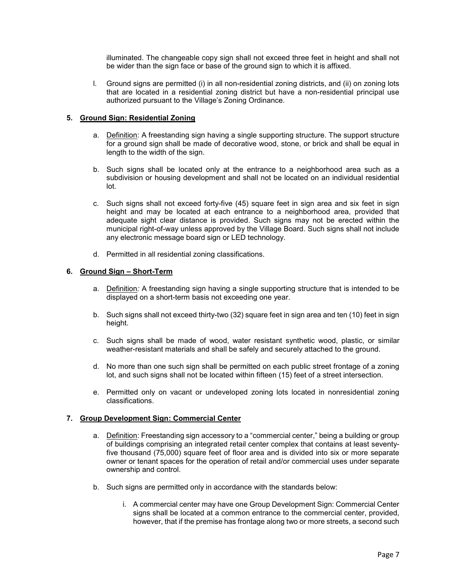illuminated. The changeable copy sign shall not exceed three feet in height and shall not be wider than the sign face or base of the ground sign to which it is affixed.

l. Ground signs are permitted (i) in all non-residential zoning districts, and (ii) on zoning lots that are located in a residential zoning district but have a non-residential principal use authorized pursuant to the Village's Zoning Ordinance.

# **5. Ground Sign: Residential Zoning**

- a. Definition: A freestanding sign having a single supporting structure. The support structure for a ground sign shall be made of decorative wood, stone, or brick and shall be equal in length to the width of the sign.
- b. Such signs shall be located only at the entrance to a neighborhood area such as a subdivision or housing development and shall not be located on an individual residential lot.
- c. Such signs shall not exceed forty-five (45) square feet in sign area and six feet in sign height and may be located at each entrance to a neighborhood area, provided that adequate sight clear distance is provided. Such signs may not be erected within the municipal right-of-way unless approved by the Village Board. Such signs shall not include any electronic message board sign or LED technology.
- d. Permitted in all residential zoning classifications.

# **6. Ground Sign – Short-Term**

- a. Definition*:* A freestanding sign having a single supporting structure that is intended to be displayed on a short-term basis not exceeding one year.
- b. Such signs shall not exceed thirty-two (32) square feet in sign area and ten (10) feet in sign height.
- c. Such signs shall be made of wood, water resistant synthetic wood, plastic, or similar weather-resistant materials and shall be safely and securely attached to the ground.
- d. No more than one such sign shall be permitted on each public street frontage of a zoning lot, and such signs shall not be located within fifteen (15) feet of a street intersection.
- e. Permitted only on vacant or undeveloped zoning lots located in nonresidential zoning classifications.

# **7. Group Development Sign: Commercial Center**

- a. Definition: Freestanding sign accessory to a "commercial center," being a building or group of buildings comprising an integrated retail center complex that contains at least seventyfive thousand (75,000) square feet of floor area and is divided into six or more separate owner or tenant spaces for the operation of retail and/or commercial uses under separate ownership and control.
- b. Such signs are permitted only in accordance with the standards below:
	- i. A commercial center may have one Group Development Sign: Commercial Center signs shall be located at a common entrance to the commercial center, provided, however, that if the premise has frontage along two or more streets, a second such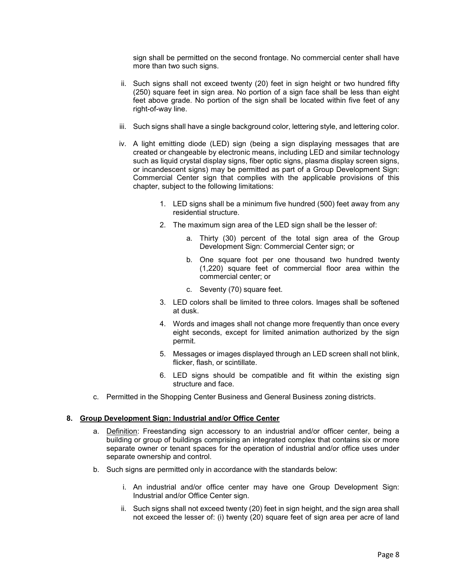sign shall be permitted on the second frontage. No commercial center shall have more than two such signs.

- ii. Such signs shall not exceed twenty (20) feet in sign height or two hundred fifty (250) square feet in sign area. No portion of a sign face shall be less than eight feet above grade. No portion of the sign shall be located within five feet of any right-of-way line.
- iii. Such signs shall have a single background color, lettering style, and lettering color.
- iv. A light emitting diode (LED) sign (being a sign displaying messages that are created or changeable by electronic means, including LED and similar technology such as liquid crystal display signs, fiber optic signs, plasma display screen signs, or incandescent signs) may be permitted as part of a Group Development Sign: Commercial Center sign that complies with the applicable provisions of this chapter, subject to the following limitations:
	- 1. LED signs shall be a minimum five hundred (500) feet away from any residential structure.
	- 2. The maximum sign area of the LED sign shall be the lesser of:
		- a. Thirty (30) percent of the total sign area of the Group Development Sign: Commercial Center sign; or
		- b. One square foot per one thousand two hundred twenty (1,220) square feet of commercial floor area within the commercial center; or
		- c. Seventy (70) square feet.
	- 3. LED colors shall be limited to three colors. Images shall be softened at dusk.
	- 4. Words and images shall not change more frequently than once every eight seconds, except for limited animation authorized by the sign permit.
	- 5. Messages or images displayed through an LED screen shall not blink, flicker, flash, or scintillate.
	- 6. LED signs should be compatible and fit within the existing sign structure and face.
- c. Permitted in the Shopping Center Business and General Business zoning districts.

# **8. Group Development Sign: Industrial and/or Office Center**

- a. Definition: Freestanding sign accessory to an industrial and/or officer center, being a building or group of buildings comprising an integrated complex that contains six or more separate owner or tenant spaces for the operation of industrial and/or office uses under separate ownership and control.
- b. Such signs are permitted only in accordance with the standards below:
	- i. An industrial and/or office center may have one Group Development Sign: Industrial and/or Office Center sign.
	- ii. Such signs shall not exceed twenty (20) feet in sign height, and the sign area shall not exceed the lesser of: (i) twenty (20) square feet of sign area per acre of land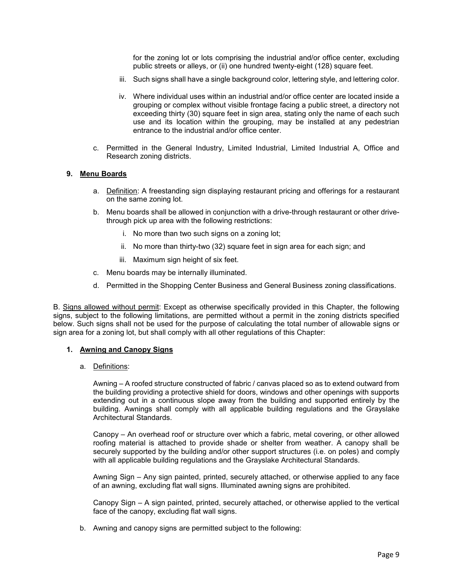for the zoning lot or lots comprising the industrial and/or office center, excluding public streets or alleys, or (ii) one hundred twenty-eight (128) square feet.

- iii. Such signs shall have a single background color, lettering style, and lettering color.
- iv. Where individual uses within an industrial and/or office center are located inside a grouping or complex without visible frontage facing a public street, a directory not exceeding thirty (30) square feet in sign area, stating only the name of each such use and its location within the grouping, may be installed at any pedestrian entrance to the industrial and/or office center.
- c. Permitted in the General Industry, Limited Industrial, Limited Industrial A, Office and Research zoning districts.

### **9. Menu Boards**

- a. Definition: A freestanding sign displaying restaurant pricing and offerings for a restaurant on the same zoning lot.
- b. Menu boards shall be allowed in conjunction with a drive-through restaurant or other drivethrough pick up area with the following restrictions:
	- i. No more than two such signs on a zoning lot;
	- ii. No more than thirty-two (32) square feet in sign area for each sign; and
	- iii. Maximum sign height of six feet.
- c. Menu boards may be internally illuminated.
- d. Permitted in the Shopping Center Business and General Business zoning classifications.

B. Signs allowed without permit: Except as otherwise specifically provided in this Chapter, the following signs, subject to the following limitations, are permitted without a permit in the zoning districts specified below. Such signs shall not be used for the purpose of calculating the total number of allowable signs or sign area for a zoning lot, but shall comply with all other regulations of this Chapter:

### **1. Awning and Canopy Signs**

a. Definitions:

Awning – A roofed structure constructed of fabric / canvas placed so as to extend outward from the building providing a protective shield for doors, windows and other openings with supports extending out in a continuous slope away from the building and supported entirely by the building. Awnings shall comply with all applicable building regulations and the Grayslake Architectural Standards.

Canopy – An overhead roof or structure over which a fabric, metal covering, or other allowed roofing material is attached to provide shade or shelter from weather. A canopy shall be securely supported by the building and/or other support structures (i.e. on poles) and comply with all applicable building regulations and the Grayslake Architectural Standards.

Awning Sign – Any sign painted, printed, securely attached, or otherwise applied to any face of an awning, excluding flat wall signs. Illuminated awning signs are prohibited.

Canopy Sign – A sign painted, printed, securely attached, or otherwise applied to the vertical face of the canopy, excluding flat wall signs.

b. Awning and canopy signs are permitted subject to the following: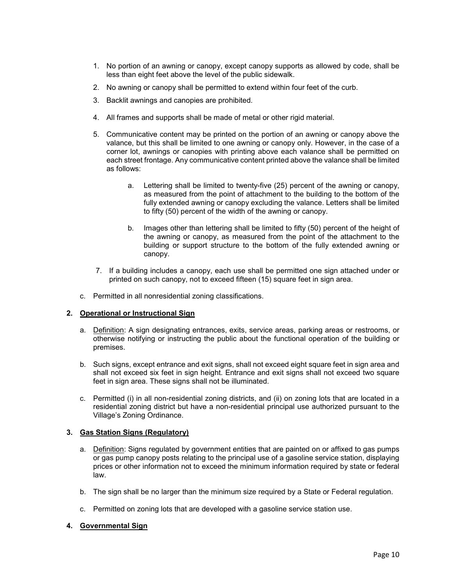- 1. No portion of an awning or canopy, except canopy supports as allowed by code, shall be less than eight feet above the level of the public sidewalk.
- 2. No awning or canopy shall be permitted to extend within four feet of the curb.
- 3. Backlit awnings and canopies are prohibited.
- 4. All frames and supports shall be made of metal or other rigid material.
- 5. Communicative content may be printed on the portion of an awning or canopy above the valance, but this shall be limited to one awning or canopy only. However, in the case of a corner lot, awnings or canopies with printing above each valance shall be permitted on each street frontage. Any communicative content printed above the valance shall be limited as follows:
	- a. Lettering shall be limited to twenty-five (25) percent of the awning or canopy, as measured from the point of attachment to the building to the bottom of the fully extended awning or canopy excluding the valance. Letters shall be limited to fifty (50) percent of the width of the awning or canopy.
	- b. Images other than lettering shall be limited to fifty (50) percent of the height of the awning or canopy, as measured from the point of the attachment to the building or support structure to the bottom of the fully extended awning or canopy.
- 7. If a building includes a canopy, each use shall be permitted one sign attached under or printed on such canopy, not to exceed fifteen (15) square feet in sign area.
- c. Permitted in all nonresidential zoning classifications.

# **2. Operational or Instructional Sign**

- a. Definition: A sign designating entrances, exits, service areas, parking areas or restrooms, or otherwise notifying or instructing the public about the functional operation of the building or premises.
- b. Such signs, except entrance and exit signs, shall not exceed eight square feet in sign area and shall not exceed six feet in sign height. Entrance and exit signs shall not exceed two square feet in sign area. These signs shall not be illuminated.
- c. Permitted (i) in all non-residential zoning districts, and (ii) on zoning lots that are located in a residential zoning district but have a non-residential principal use authorized pursuant to the Village's Zoning Ordinance.

# **3. Gas Station Signs (Regulatory)**

- a. Definition: Signs regulated by government entities that are painted on or affixed to gas pumps or gas pump canopy posts relating to the principal use of a gasoline service station, displaying prices or other information not to exceed the minimum information required by state or federal law.
- b. The sign shall be no larger than the minimum size required by a State or Federal regulation.
- c. Permitted on zoning lots that are developed with a gasoline service station use.

### **4. Governmental Sign**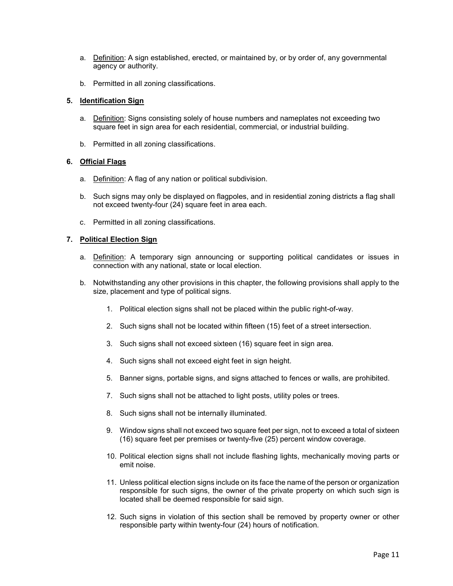- a. Definition: A sign established, erected, or maintained by, or by order of, any governmental agency or authority.
- b. Permitted in all zoning classifications.

## **5. Identification Sign**

- a. Definition: Signs consisting solely of house numbers and nameplates not exceeding two square feet in sign area for each residential, commercial, or industrial building.
- b. Permitted in all zoning classifications.

## **6. Official Flags**

- a. Definition: A flag of any nation or political subdivision.
- b. Such signs may only be displayed on flagpoles, and in residential zoning districts a flag shall not exceed twenty-four (24) square feet in area each.
- c. Permitted in all zoning classifications.

## **7. Political Election Sign**

- a. Definition: A temporary sign announcing or supporting political candidates or issues in connection with any national, state or local election.
- b. Notwithstanding any other provisions in this chapter, the following provisions shall apply to the size, placement and type of political signs.
	- 1. Political election signs shall not be placed within the public right-of-way.
	- 2. Such signs shall not be located within fifteen (15) feet of a street intersection.
	- 3. Such signs shall not exceed sixteen (16) square feet in sign area.
	- 4. Such signs shall not exceed eight feet in sign height.
	- 5. Banner signs, portable signs, and signs attached to fences or walls, are prohibited.
	- 7. Such signs shall not be attached to light posts, utility poles or trees.
	- 8. Such signs shall not be internally illuminated.
	- 9. Window signs shall not exceed two square feet per sign, not to exceed a total of sixteen (16) square feet per premises or twenty-five (25) percent window coverage.
	- 10. Political election signs shall not include flashing lights, mechanically moving parts or emit noise.
	- 11. Unless political election signs include on its face the name of the person or organization responsible for such signs, the owner of the private property on which such sign is located shall be deemed responsible for said sign.
	- 12. Such signs in violation of this section shall be removed by property owner or other responsible party within twenty-four (24) hours of notification.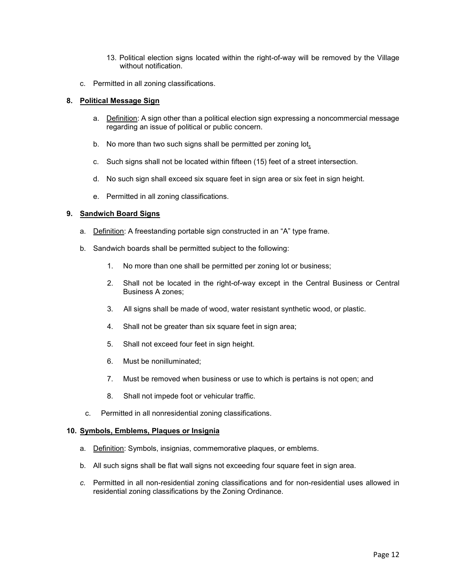- 13. Political election signs located within the right-of-way will be removed by the Village without notification.
- c. Permitted in all zoning classifications.

# **8. Political Message Sign**

- a. Definition: A sign other than a political election sign expressing a noncommercial message regarding an issue of political or public concern.
- b. No more than two such signs shall be permitted per zoning lot**.**
- c. Such signs shall not be located within fifteen (15) feet of a street intersection.
- d. No such sign shall exceed six square feet in sign area or six feet in sign height.
- e. Permitted in all zoning classifications.

# **9. Sandwich Board Signs**

- a. Definition: A freestanding portable sign constructed in an "A" type frame.
- b. Sandwich boards shall be permitted subject to the following:
	- 1. No more than one shall be permitted per zoning lot or business;
	- 2. Shall not be located in the right-of-way except in the Central Business or Central Business A zones;
	- 3. All signs shall be made of wood, water resistant synthetic wood, or plastic.
	- 4. Shall not be greater than six square feet in sign area;
	- 5. Shall not exceed four feet in sign height.
	- 6. Must be nonilluminated;
	- 7. Must be removed when business or use to which is pertains is not open; and
	- 8. Shall not impede foot or vehicular traffic.
	- c. Permitted in all nonresidential zoning classifications.

### **10. Symbols, Emblems, Plaques or Insignia**

- a. Definition: Symbols, insignias, commemorative plaques, or emblems.
- b. All such signs shall be flat wall signs not exceeding four square feet in sign area.
- *c.* Permitted in all non-residential zoning classifications and for non-residential uses allowed in residential zoning classifications by the Zoning Ordinance.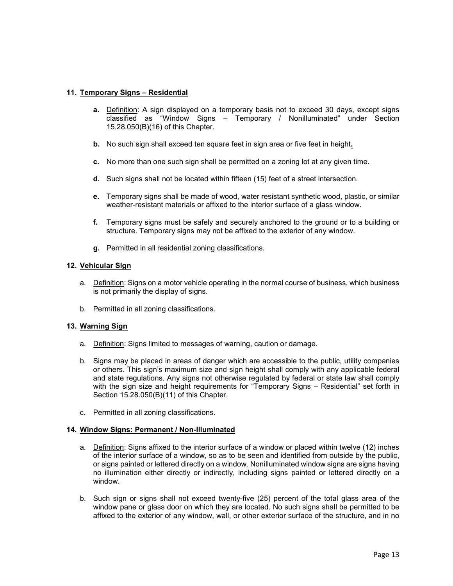## **11. Temporary Signs – Residential**

- **a.** Definition: A sign displayed on a temporary basis not to exceed 30 days, except signs classified as "Window Signs – Temporary / Nonilluminated" under Section 15.28.050(B)(16) of this Chapter.
- **b.** No such sign shall exceed ten square feet in sign area or five feet in height**.**
- **c.** No more than one such sign shall be permitted on a zoning lot at any given time.
- **d.** Such signs shall not be located within fifteen (15) feet of a street intersection.
- **e.** Temporary signs shall be made of wood, water resistant synthetic wood, plastic, or similar weather-resistant materials or affixed to the interior surface of a glass window.
- **f.** Temporary signs must be safely and securely anchored to the ground or to a building or structure. Temporary signs may not be affixed to the exterior of any window.
- **g.** Permitted in all residential zoning classifications.

## **12. Vehicular Sign**

- a. Definition: Signs on a motor vehicle operating in the normal course of business, which business is not primarily the display of signs.
- b. Permitted in all zoning classifications.

### **13. Warning Sign**

- a. Definition: Signs limited to messages of warning, caution or damage.
- b. Signs may be placed in areas of danger which are accessible to the public, utility companies or others. This sign's maximum size and sign height shall comply with any applicable federal and state regulations. Any signs not otherwise regulated by federal or state law shall comply with the sign size and height requirements for "Temporary Signs – Residential" set forth in Section 15.28.050(B)(11) of this Chapter.
- c. Permitted in all zoning classifications.

### **14. Window Signs: Permanent / Non-Illuminated**

- a. Definition: Signs affixed to the interior surface of a window or placed within twelve (12) inches of the interior surface of a window, so as to be seen and identified from outside by the public, or signs painted or lettered directly on a window. Nonilluminated window signs are signs having no illumination either directly or indirectly, including signs painted or lettered directly on a window.
- b. Such sign or signs shall not exceed twenty-five (25) percent of the total glass area of the window pane or glass door on which they are located. No such signs shall be permitted to be affixed to the exterior of any window, wall, or other exterior surface of the structure, and in no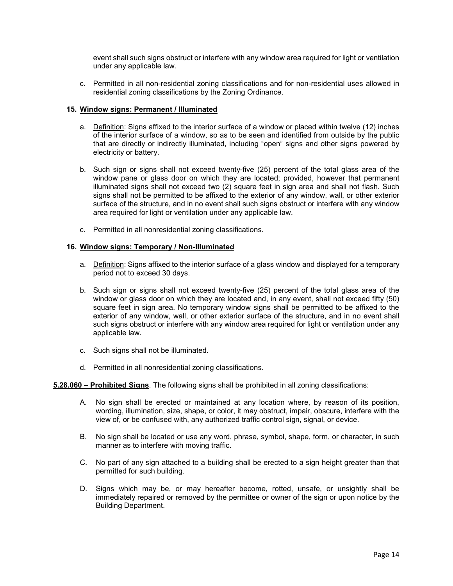event shall such signs obstruct or interfere with any window area required for light or ventilation under any applicable law.

c. Permitted in all non-residential zoning classifications and for non-residential uses allowed in residential zoning classifications by the Zoning Ordinance.

### **15. Window signs: Permanent / Illuminated**

- a. Definition: Signs affixed to the interior surface of a window or placed within twelve (12) inches of the interior surface of a window, so as to be seen and identified from outside by the public that are directly or indirectly illuminated, including "open" signs and other signs powered by electricity or battery.
- b. Such sign or signs shall not exceed twenty-five (25) percent of the total glass area of the window pane or glass door on which they are located; provided, however that permanent illuminated signs shall not exceed two (2) square feet in sign area and shall not flash. Such signs shall not be permitted to be affixed to the exterior of any window, wall, or other exterior surface of the structure, and in no event shall such signs obstruct or interfere with any window area required for light or ventilation under any applicable law.
- c. Permitted in all nonresidential zoning classifications.

## **16. Window signs: Temporary / Non-Illuminated**

- a. Definition: Signs affixed to the interior surface of a glass window and displayed for a temporary period not to exceed 30 days.
- b. Such sign or signs shall not exceed twenty-five (25) percent of the total glass area of the window or glass door on which they are located and, in any event, shall not exceed fifty (50) square feet in sign area. No temporary window signs shall be permitted to be affixed to the exterior of any window, wall, or other exterior surface of the structure, and in no event shall such signs obstruct or interfere with any window area required for light or ventilation under any applicable law.
- c. Such signs shall not be illuminated.
- d. Permitted in all nonresidential zoning classifications.

### **5.28.060 – Prohibited Signs**. The following signs shall be prohibited in all zoning classifications:

- A. No sign shall be erected or maintained at any location where, by reason of its position, wording, illumination, size, shape, or color, it may obstruct, impair, obscure, interfere with the view of, or be confused with, any authorized traffic control sign, signal, or device.
- B. No sign shall be located or use any word, phrase, symbol, shape, form, or character, in such manner as to interfere with moving traffic.
- C. No part of any sign attached to a building shall be erected to a sign height greater than that permitted for such building.
- D. Signs which may be, or may hereafter become, rotted, unsafe, or unsightly shall be immediately repaired or removed by the permittee or owner of the sign or upon notice by the Building Department.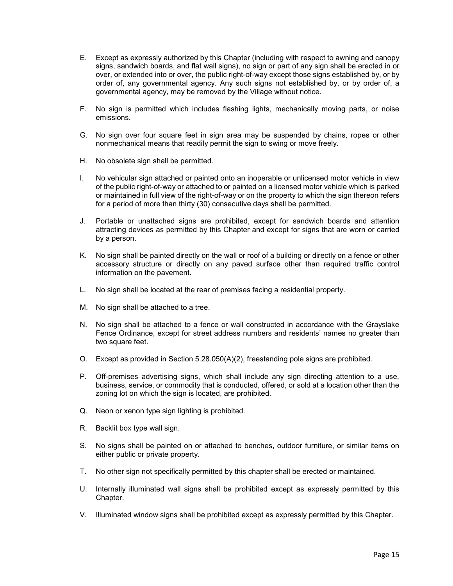- E. Except as expressly authorized by this Chapter (including with respect to awning and canopy signs, sandwich boards, and flat wall signs), no sign or part of any sign shall be erected in or over, or extended into or over, the public right-of-way except those signs established by, or by order of, any governmental agency. Any such signs not established by, or by order of, a governmental agency, may be removed by the Village without notice.
- F. No sign is permitted which includes flashing lights, mechanically moving parts, or noise emissions.
- G. No sign over four square feet in sign area may be suspended by chains, ropes or other nonmechanical means that readily permit the sign to swing or move freely.
- H. No obsolete sign shall be permitted.
- I. No vehicular sign attached or painted onto an inoperable or unlicensed motor vehicle in view of the public right-of-way or attached to or painted on a licensed motor vehicle which is parked or maintained in full view of the right-of-way or on the property to which the sign thereon refers for a period of more than thirty (30) consecutive days shall be permitted.
- J. Portable or unattached signs are prohibited, except for sandwich boards and attention attracting devices as permitted by this Chapter and except for signs that are worn or carried by a person.
- K. No sign shall be painted directly on the wall or roof of a building or directly on a fence or other accessory structure or directly on any paved surface other than required traffic control information on the pavement.
- L. No sign shall be located at the rear of premises facing a residential property.
- M. No sign shall be attached to a tree.
- N. No sign shall be attached to a fence or wall constructed in accordance with the Grayslake Fence Ordinance, except for street address numbers and residents' names no greater than two square feet.
- O. Except as provided in Section 5.28.050(A)(2), freestanding pole signs are prohibited.
- P. Off-premises advertising signs, which shall include any sign directing attention to a use, business, service, or commodity that is conducted, offered, or sold at a location other than the zoning lot on which the sign is located, are prohibited.
- Q. Neon or xenon type sign lighting is prohibited.
- R. Backlit box type wall sign.
- S. No signs shall be painted on or attached to benches, outdoor furniture, or similar items on either public or private property.
- T. No other sign not specifically permitted by this chapter shall be erected or maintained.
- U. Internally illuminated wall signs shall be prohibited except as expressly permitted by this Chapter.
- V. Illuminated window signs shall be prohibited except as expressly permitted by this Chapter.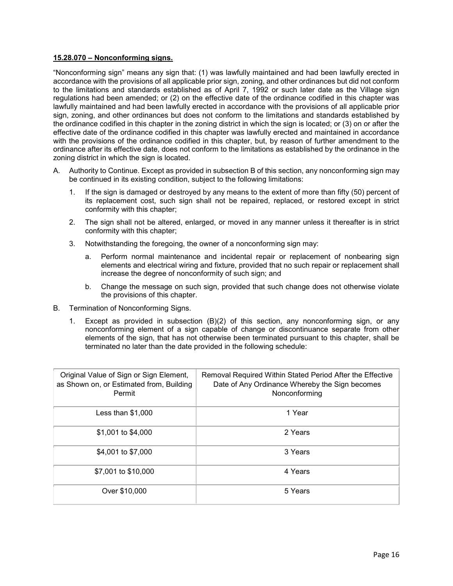### **15.28.070 – Nonconforming signs.**

"Nonconforming sign" means any sign that: (1) was lawfully maintained and had been lawfully erected in accordance with the provisions of all applicable prior sign, zoning, and other ordinances but did not conform to the limitations and standards established as of April 7, 1992 or such later date as the Village sign regulations had been amended; or (2) on the effective date of the ordinance codified in this chapter was lawfully maintained and had been lawfully erected in accordance with the provisions of all applicable prior sign, zoning, and other ordinances but does not conform to the limitations and standards established by the ordinance codified in this chapter in the zoning district in which the sign is located; or (3) on or after the effective date of the ordinance codified in this chapter was lawfully erected and maintained in accordance with the provisions of the ordinance codified in this chapter, but, by reason of further amendment to the ordinance after its effective date, does not conform to the limitations as established by the ordinance in the zoning district in which the sign is located.

- A. Authority to Continue. Except as provided in subsection B of this section, any nonconforming sign may be continued in its existing condition, subject to the following limitations:
	- 1. If the sign is damaged or destroyed by any means to the extent of more than fifty (50) percent of its replacement cost, such sign shall not be repaired, replaced, or restored except in strict conformity with this chapter;
	- 2. The sign shall not be altered, enlarged, or moved in any manner unless it thereafter is in strict conformity with this chapter;
	- 3. Notwithstanding the foregoing, the owner of a nonconforming sign may:
		- a. Perform normal maintenance and incidental repair or replacement of nonbearing sign elements and electrical wiring and fixture, provided that no such repair or replacement shall increase the degree of nonconformity of such sign; and
		- b. Change the message on such sign, provided that such change does not otherwise violate the provisions of this chapter.
- B. Termination of Nonconforming Signs.
	- 1. Except as provided in subsection (B)(2) of this section, any nonconforming sign, or any nonconforming element of a sign capable of change or discontinuance separate from other elements of the sign, that has not otherwise been terminated pursuant to this chapter, shall be terminated no later than the date provided in the following schedule:

| Original Value of Sign or Sign Element,<br>as Shown on, or Estimated from, Building<br>Permit | Removal Required Within Stated Period After the Effective<br>Date of Any Ordinance Whereby the Sign becomes<br>Nonconforming |
|-----------------------------------------------------------------------------------------------|------------------------------------------------------------------------------------------------------------------------------|
| Less than $$1,000$                                                                            | 1 Year                                                                                                                       |
| \$1,001 to \$4,000                                                                            | 2 Years                                                                                                                      |
| \$4,001 to \$7,000                                                                            | 3 Years                                                                                                                      |
| \$7,001 to \$10,000                                                                           | 4 Years                                                                                                                      |
| Over \$10,000                                                                                 | 5 Years                                                                                                                      |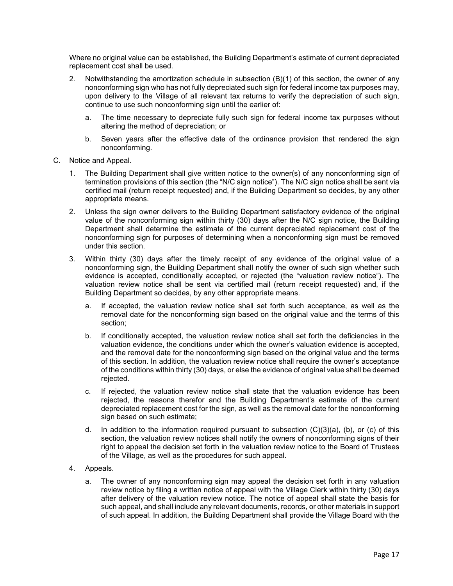Where no original value can be established, the Building Department's estimate of current depreciated replacement cost shall be used.

- 2. Notwithstanding the amortization schedule in subsection (B)(1) of this section, the owner of any nonconforming sign who has not fully depreciated such sign for federal income tax purposes may, upon delivery to the Village of all relevant tax returns to verify the depreciation of such sign, continue to use such nonconforming sign until the earlier of:
	- a. The time necessary to depreciate fully such sign for federal income tax purposes without altering the method of depreciation; or
	- b. Seven years after the effective date of the ordinance provision that rendered the sign nonconforming.
- C. Notice and Appeal.
	- 1. The Building Department shall give written notice to the owner(s) of any nonconforming sign of termination provisions of this section (the "N/C sign notice"). The N/C sign notice shall be sent via certified mail (return receipt requested) and, if the Building Department so decides, by any other appropriate means.
	- 2. Unless the sign owner delivers to the Building Department satisfactory evidence of the original value of the nonconforming sign within thirty (30) days after the N/C sign notice, the Building Department shall determine the estimate of the current depreciated replacement cost of the nonconforming sign for purposes of determining when a nonconforming sign must be removed under this section.
	- 3. Within thirty (30) days after the timely receipt of any evidence of the original value of a nonconforming sign, the Building Department shall notify the owner of such sign whether such evidence is accepted, conditionally accepted, or rejected (the "valuation review notice"). The valuation review notice shall be sent via certified mail (return receipt requested) and, if the Building Department so decides, by any other appropriate means.
		- a. If accepted, the valuation review notice shall set forth such acceptance, as well as the removal date for the nonconforming sign based on the original value and the terms of this section;
		- b. If conditionally accepted, the valuation review notice shall set forth the deficiencies in the valuation evidence, the conditions under which the owner's valuation evidence is accepted, and the removal date for the nonconforming sign based on the original value and the terms of this section. In addition, the valuation review notice shall require the owner's acceptance of the conditions within thirty (30) days, or else the evidence of original value shall be deemed rejected.
		- c. If rejected, the valuation review notice shall state that the valuation evidence has been rejected, the reasons therefor and the Building Department's estimate of the current depreciated replacement cost for the sign, as well as the removal date for the nonconforming sign based on such estimate;
		- d. In addition to the information required pursuant to subsection  $(C)(3)(a)$ , (b), or (c) of this section, the valuation review notices shall notify the owners of nonconforming signs of their right to appeal the decision set forth in the valuation review notice to the Board of Trustees of the Village, as well as the procedures for such appeal.
	- 4. Appeals.
		- a. The owner of any nonconforming sign may appeal the decision set forth in any valuation review notice by filing a written notice of appeal with the Village Clerk within thirty (30) days after delivery of the valuation review notice. The notice of appeal shall state the basis for such appeal, and shall include any relevant documents, records, or other materials in support of such appeal. In addition, the Building Department shall provide the Village Board with the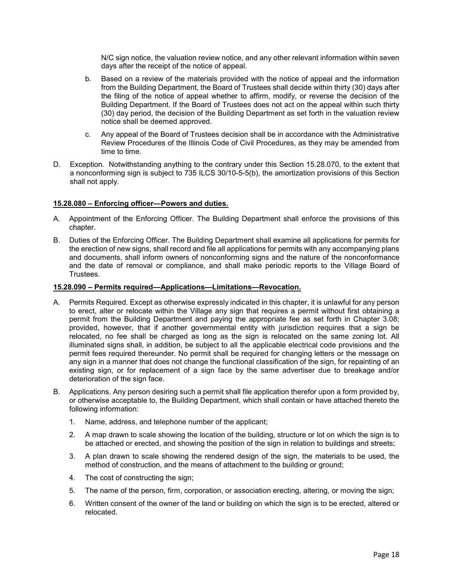N/C sign notice, the valuation review notice, and any other relevant information within seven days after the receipt of the notice of appeal.

- b. Based on a review of the materials provided with the notice of appeal and the information from the Building Department, the Board of Trustees shall decide within thirty (30) days after the filing of the notice of appeal whether to affirm, modify, or reverse the decision of the Building Department. If the Board of Trustees does not act on the appeal within such thirty (30) day period, the decision of the Building Department as set forth in the valuation review notice shall be deemed approved.
- c. Any appeal of the Board of Trustees decision shall be in accordance with the Administrative Review Procedures of the Illinois Code of Civil Procedures, as they may be amended from time to time.
- D. Exception. Notwithstanding anything to the contrary under this Section 15.28.070, to the extent that a nonconforming sign is subject to 735 ILCS 30/10-5-5(b), the amortization provisions of this Section shall not apply.

## **15.28.080 – Enforcing officer—Powers and duties.**

- A. Appointment of the Enforcing Officer. The Building Department shall enforce the provisions of this chapter.
- B. Duties of the Enforcing Officer. The Building Department shall examine all applications for permits for the erection of new signs, shall record and file all applications for permits with any accompanying plans and documents, shall inform owners of nonconforming signs and the nature of the nonconformance and the date of removal or compliance, and shall make periodic reports to the Village Board of Trustees.

#### **15.28.090 – Permits required—Applications—Limitations—Revocation.**

- A. Permits Required. Except as otherwise expressly indicated in this chapter, it is unlawful for any person to erect, alter or relocate within the Village any sign that requires a permit without first obtaining a permit from the Building Department and paying the appropriate fee as set forth in Chapter 3.08; provided, however, that if another governmental entity with jurisdiction requires that a sign be relocated, no fee shall be charged as long as the sign is relocated on the same zoning lot. All illuminated signs shall, in addition, be subject to all the applicable electrical code provisions and the permit fees required thereunder. No permit shall be required for changing letters or the message on any sign in a manner that does not change the functional classification of the sign, for repainting of an existing sign, or for replacement of a sign face by the same advertiser due to breakage and/or deterioration of the sign face.
- B. Applications. Any person desiring such a permit shall file application therefor upon a form provided by, or otherwise acceptable to, the Building Department, which shall contain or have attached thereto the following information:
	- 1. Name, address, and telephone number of the applicant;
	- 2. A map drawn to scale showing the location of the building, structure or lot on which the sign is to be attached or erected, and showing the position of the sign in relation to buildings and streets;
	- 3. A plan drawn to scale showing the rendered design of the sign, the materials to be used, the method of construction, and the means of attachment to the building or ground;
	- 4. The cost of constructing the sign;
	- 5. The name of the person, firm, corporation, or association erecting, altering, or moving the sign;
	- 6. Written consent of the owner of the land or building on which the sign is to be erected, altered or relocated.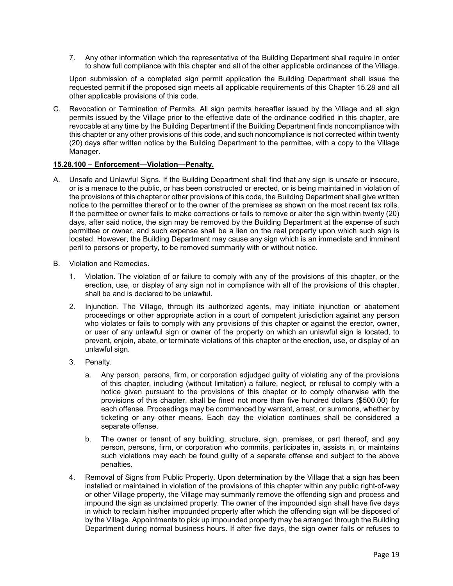7. Any other information which the representative of the Building Department shall require in order to show full compliance with this chapter and all of the other applicable ordinances of the Village.

Upon submission of a completed sign permit application the Building Department shall issue the requested permit if the proposed sign meets all applicable requirements of this Chapter 15.28 and all other applicable provisions of this code.

C. Revocation or Termination of Permits. All sign permits hereafter issued by the Village and all sign permits issued by the Village prior to the effective date of the ordinance codified in this chapter, are revocable at any time by the Building Department if the Building Department finds noncompliance with this chapter or any other provisions of this code, and such noncompliance is not corrected within twenty (20) days after written notice by the Building Department to the permittee, with a copy to the Village Manager.

## **15.28.100 – Enforcement—Violation—Penalty.**

- A. Unsafe and Unlawful Signs. If the Building Department shall find that any sign is unsafe or insecure, or is a menace to the public, or has been constructed or erected, or is being maintained in violation of the provisions of this chapter or other provisions of this code, the Building Department shall give written notice to the permittee thereof or to the owner of the premises as shown on the most recent tax rolls. If the permittee or owner fails to make corrections or fails to remove or alter the sign within twenty (20) days, after said notice, the sign may be removed by the Building Department at the expense of such permittee or owner, and such expense shall be a lien on the real property upon which such sign is located. However, the Building Department may cause any sign which is an immediate and imminent peril to persons or property, to be removed summarily with or without notice.
- B. Violation and Remedies.
	- 1. Violation. The violation of or failure to comply with any of the provisions of this chapter, or the erection, use, or display of any sign not in compliance with all of the provisions of this chapter, shall be and is declared to be unlawful.
	- 2. Injunction. The Village, through its authorized agents, may initiate injunction or abatement proceedings or other appropriate action in a court of competent jurisdiction against any person who violates or fails to comply with any provisions of this chapter or against the erector, owner, or user of any unlawful sign or owner of the property on which an unlawful sign is located, to prevent, enjoin, abate, or terminate violations of this chapter or the erection, use, or display of an unlawful sign.
	- 3. Penalty.
		- a. Any person, persons, firm, or corporation adjudged guilty of violating any of the provisions of this chapter, including (without limitation) a failure, neglect, or refusal to comply with a notice given pursuant to the provisions of this chapter or to comply otherwise with the provisions of this chapter, shall be fined not more than five hundred dollars (\$500.00) for each offense. Proceedings may be commenced by warrant, arrest, or summons, whether by ticketing or any other means. Each day the violation continues shall be considered a separate offense.
		- b. The owner or tenant of any building, structure, sign, premises, or part thereof, and any person, persons, firm, or corporation who commits, participates in, assists in, or maintains such violations may each be found guilty of a separate offense and subject to the above penalties.
	- 4. Removal of Signs from Public Property. Upon determination by the Village that a sign has been installed or maintained in violation of the provisions of this chapter within any public right-of-way or other Village property, the Village may summarily remove the offending sign and process and impound the sign as unclaimed property. The owner of the impounded sign shall have five days in which to reclaim his/her impounded property after which the offending sign will be disposed of by the Village. Appointments to pick up impounded property may be arranged through the Building Department during normal business hours. If after five days, the sign owner fails or refuses to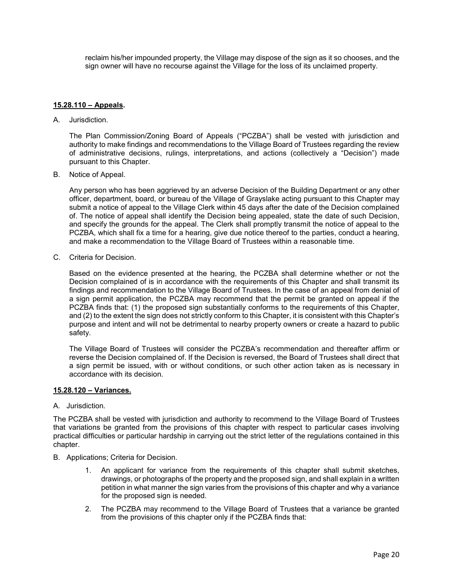reclaim his/her impounded property, the Village may dispose of the sign as it so chooses, and the sign owner will have no recourse against the Village for the loss of its unclaimed property.

## **15.28.110 – Appeals.**

A. Jurisdiction.

The Plan Commission/Zoning Board of Appeals ("PCZBA") shall be vested with jurisdiction and authority to make findings and recommendations to the Village Board of Trustees regarding the review of administrative decisions, rulings, interpretations, and actions (collectively a "Decision") made pursuant to this Chapter.

B. Notice of Appeal.

Any person who has been aggrieved by an adverse Decision of the Building Department or any other officer, department, board, or bureau of the Village of Grayslake acting pursuant to this Chapter may submit a notice of appeal to the Village Clerk within 45 days after the date of the Decision complained of. The notice of appeal shall identify the Decision being appealed, state the date of such Decision, and specify the grounds for the appeal. The Clerk shall promptly transmit the notice of appeal to the PCZBA, which shall fix a time for a hearing, give due notice thereof to the parties, conduct a hearing, and make a recommendation to the Village Board of Trustees within a reasonable time.

C. Criteria for Decision.

Based on the evidence presented at the hearing, the PCZBA shall determine whether or not the Decision complained of is in accordance with the requirements of this Chapter and shall transmit its findings and recommendation to the Village Board of Trustees. In the case of an appeal from denial of a sign permit application, the PCZBA may recommend that the permit be granted on appeal if the PCZBA finds that: (1) the proposed sign substantially conforms to the requirements of this Chapter, and (2) to the extent the sign does not strictly conform to this Chapter, it is consistent with this Chapter's purpose and intent and will not be detrimental to nearby property owners or create a hazard to public safety.

The Village Board of Trustees will consider the PCZBA's recommendation and thereafter affirm or reverse the Decision complained of. If the Decision is reversed, the Board of Trustees shall direct that a sign permit be issued, with or without conditions, or such other action taken as is necessary in accordance with its decision.

### **15.28.120 – Variances.**

## A. Jurisdiction.

The PCZBA shall be vested with jurisdiction and authority to recommend to the Village Board of Trustees that variations be granted from the provisions of this chapter with respect to particular cases involving practical difficulties or particular hardship in carrying out the strict letter of the regulations contained in this chapter.

- B. Applications; Criteria for Decision.
	- 1. An applicant for variance from the requirements of this chapter shall submit sketches, drawings, or photographs of the property and the proposed sign, and shall explain in a written petition in what manner the sign varies from the provisions of this chapter and why a variance for the proposed sign is needed.
	- 2. The PCZBA may recommend to the Village Board of Trustees that a variance be granted from the provisions of this chapter only if the PCZBA finds that: